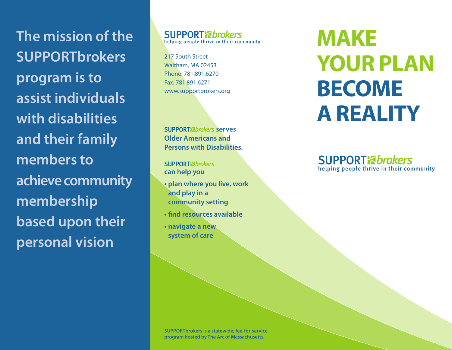**The mission of the SUPPORTbrokers program is to assist individuals with disabilities and their family members to achieve community membership based upon their personal vision**

**SUPPORT** *R***brokers** helping people thrive in their community

217 South Street Waltham, MA 02453 Phone: 781.891.6270 Fax: 781.891.6271 www.supportbrokers.org

**SUPPORT**<sup>&</sup>*brokers* serves **Older Americans and Persons with Disabilities.** 

**SUPPORT** *Abrokers* **can help you**

- **plan where you live, work and play in a community setting**
- **find resources available**
- **navigate a new system of care**

**MAKE YOUR PLAN BECOME A REALITY**

**SUPPORT** *R***brokers** helping people thrive in their community

**SUPPORTbrokers is a statewide, fee-for-service program hosted by The Arc of Massachusetts.**